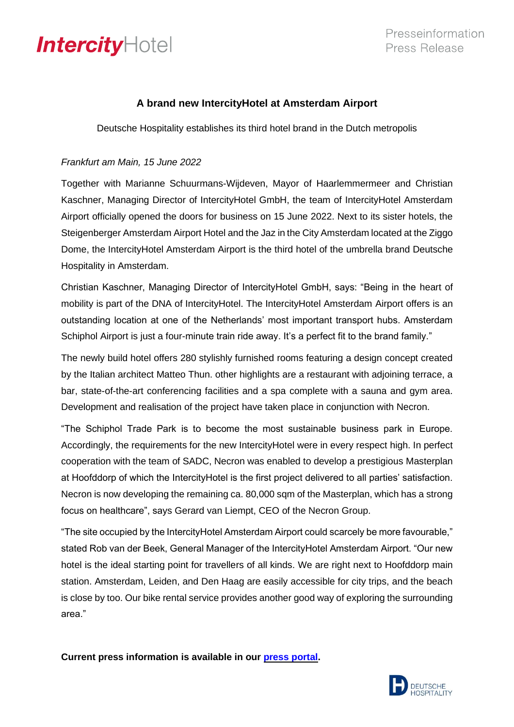## IntercityHotel

## **A brand new IntercityHotel at Amsterdam Airport**

Deutsche Hospitality establishes its third hotel brand in the Dutch metropolis

## *Frankfurt am Main, 15 June 2022*

Together with Marianne Schuurmans-Wijdeven, Mayor of Haarlemmermeer and Christian Kaschner, Managing Director of IntercityHotel GmbH, the team of IntercityHotel Amsterdam Airport officially opened the doors for business on 15 June 2022. Next to its sister hotels, the Steigenberger Amsterdam Airport Hotel and the Jaz in the City Amsterdam located at the Ziggo Dome, the IntercityHotel Amsterdam Airport is the third hotel of the umbrella brand Deutsche Hospitality in Amsterdam.

Christian Kaschner, Managing Director of IntercityHotel GmbH, says: "Being in the heart of mobility is part of the DNA of IntercityHotel. The IntercityHotel Amsterdam Airport offers is an outstanding location at one of the Netherlands' most important transport hubs. Amsterdam Schiphol Airport is just a four-minute train ride away. It's a perfect fit to the brand family."

The newly build hotel offers 280 stylishly furnished rooms featuring a design concept created by the Italian architect Matteo Thun. other highlights are a restaurant with adjoining terrace, a bar, state-of-the-art conferencing facilities and a spa complete with a sauna and gym area. Development and realisation of the project have taken place in conjunction with Necron.

"The Schiphol Trade Park is to become the most sustainable business park in Europe. Accordingly, the requirements for the new IntercityHotel were in every respect high. In perfect cooperation with the team of SADC, Necron was enabled to develop a prestigious Masterplan at Hoofddorp of which the IntercityHotel is the first project delivered to all parties' satisfaction. Necron is now developing the remaining ca. 80,000 sqm of the Masterplan, which has a strong focus on healthcare", says Gerard van Liempt, CEO of the Necron Group.

"The site occupied by the IntercityHotel Amsterdam Airport could scarcely be more favourable," stated Rob van der Beek, General Manager of the IntercityHotel Amsterdam Airport. "Our new hotel is the ideal starting point for travellers of all kinds. We are right next to Hoofddorp main station. Amsterdam, Leiden, and Den Haag are easily accessible for city trips, and the beach is close by too. Our bike rental service provides another good way of exploring the surrounding area."

**Current press information is available in our press [portal.](https://www.deutschehospitality.com/en/press-office)**